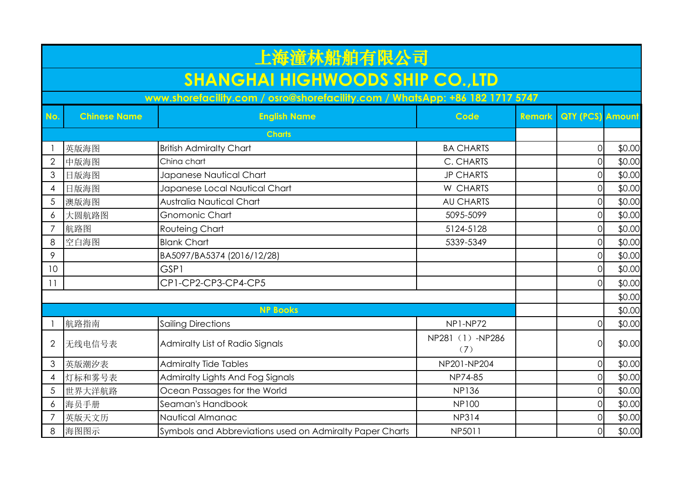| 上海潼林船舶有限公司 |
|------------|
|------------|

## **SHANGHAI HIGHWOODS SHIP CO.,LTD**

**www.shorefacility.com / osro@shorefacility.com / WhatsApp: +86 182 1717 5747**

| No.            | <b>Chinese Name</b> | <b>English Name</b>                                      | Code                    | <b>Remark</b> | <b>QTY (PCS) Amount</b> |        |
|----------------|---------------------|----------------------------------------------------------|-------------------------|---------------|-------------------------|--------|
|                |                     | <b>Charts</b>                                            |                         |               |                         |        |
|                | 英版海图                | <b>British Admiralty Chart</b>                           | <b>BA CHARTS</b>        |               | 0                       | \$0.00 |
| $\overline{2}$ | 中版海图                | China chart                                              | C. CHARTS               |               | ΩI                      | \$0.00 |
| 3              | 日版海图                | Japanese Nautical Chart                                  | <b>JP CHARTS</b>        |               | 0                       | \$0.00 |
| 4              | 日版海图                | Japanese Local Nautical Chart                            | W CHARTS                |               | 0                       | \$0.00 |
| 5              | 澳版海图                | <b>Australia Nautical Chart</b>                          | <b>AU CHARTS</b>        |               | 01                      | \$0.00 |
| 6              | 大圆航路图               | <b>Gnomonic Chart</b>                                    | 5095-5099               |               | 01                      | \$0.00 |
| $\overline{7}$ | 航路图                 | Routeing Chart                                           | 5124-5128               |               | 0                       | \$0.00 |
| 8              | 空白海图                | <b>Blank Chart</b>                                       | 5339-5349               |               | 0                       | \$0.00 |
| 9              |                     | BA5097/BA5374 (2016/12/28)                               |                         |               | 0                       | \$0.00 |
| 10             |                     | GSP1                                                     |                         |               | 0                       | \$0.00 |
| 11             |                     | CP1-CP2-CP3-CP4-CP5                                      |                         |               | $\overline{O}$          | \$0.00 |
|                |                     |                                                          |                         |               |                         | \$0.00 |
|                |                     | <b>NP Books</b>                                          |                         |               |                         | \$0.00 |
|                | 航路指南                | <b>Sailing Directions</b>                                | NP1-NP72                |               | O                       | \$0.00 |
| $\overline{2}$ | 无线电信号表              | Admiralty List of Radio Signals                          | NP281 (1) -NP286<br>(7) |               | 0                       | \$0.00 |
| 3              | 英版潮汐表               | <b>Admiralty Tide Tables</b>                             | NP201-NP204             |               | $\Omega$                | \$0.00 |
| 4              | 灯标和雾号表              | Admiralty Lights And Fog Signals                         | NP74-85                 |               | ΩI                      | \$0.00 |
| 5              | 世界大洋航路              | Ocean Passages for the World                             | <b>NP136</b>            |               | O                       | \$0.00 |
| 6              | 海员手册                | Seaman's Handbook                                        | <b>NP100</b>            |               | ΩI                      | \$0.00 |
|                | 英版天文历               | Nautical Almanac                                         | <b>NP314</b>            |               | ΩI                      | \$0.00 |
| 8              | 海图图示                | Symbols and Abbreviations used on Admiralty Paper Charts | NP5011                  |               | 0                       | \$0.00 |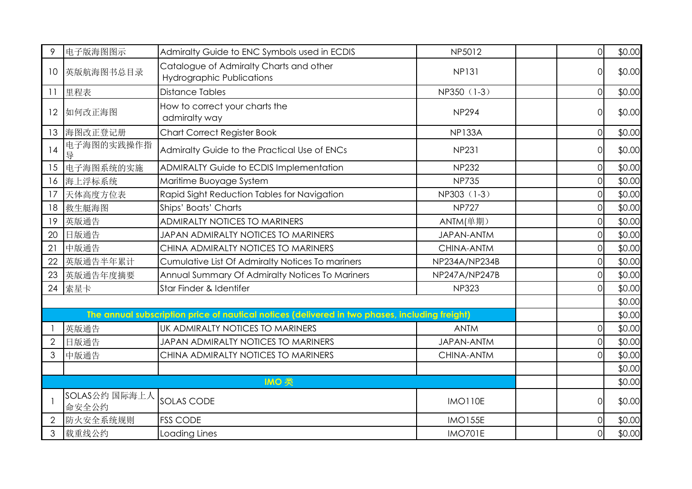| 9              | 电子版海图图示                | Admiralty Guide to ENC Symbols used in ECDIS                                                   | NP5012            | $\overline{O}$ | \$0.00 |
|----------------|------------------------|------------------------------------------------------------------------------------------------|-------------------|----------------|--------|
| 10             | 英版航海图书总目录              | Catalogue of Admiralty Charts and other<br><b>Hydrographic Publications</b>                    | <b>NP131</b>      |                | \$0.00 |
| 11             | 里程表                    | Distance Tables                                                                                | NP350 (1-3)       | $\Omega$       | \$0.00 |
| 12             | 如何改正海图                 | How to correct your charts the<br>admiralty way                                                | <b>NP294</b>      | $\Omega$       | \$0.00 |
| 13             | 海图改正登记册                | <b>Chart Correct Register Book</b>                                                             | <b>NP133A</b>     | $\overline{O}$ | \$0.00 |
| 14             | 电子海图的实践操作指<br>导        | Admiralty Guide to the Practical Use of ENCs                                                   | <b>NP231</b>      | $\Omega$       | \$0.00 |
| 15             | 电子海图系统的实施              | <b>ADMIRALTY Guide to ECDIS Implementation</b>                                                 | <b>NP232</b>      | 0              | \$0.00 |
| 16             | 海上浮标系统                 | Maritime Buoyage System                                                                        | <b>NP735</b>      | $\Omega$       | \$0.00 |
| 17             | 天体高度方位表                | Rapid Sight Reduction Tables for Navigation                                                    | NP303 (1-3)       | $\Omega$       | \$0.00 |
| 18             | 救生艇海图                  | Ships' Boats' Charts                                                                           | <b>NP727</b>      | $\overline{O}$ | \$0.00 |
| 19             | 英版通告                   | <b>ADMIRALTY NOTICES TO MARINERS</b>                                                           | ANTM(单期)          | $\Omega$       | \$0.00 |
| 20             | 日版通告                   | JAPAN ADMIRALTY NOTICES TO MARINERS                                                            | <b>JAPAN-ANTM</b> | $\Omega$       | \$0.00 |
| 21             | 中版通告                   | CHINA ADMIRALTY NOTICES TO MARINERS                                                            | CHINA-ANTM        | $\Omega$       | \$0.00 |
| 22             | 英版通告半年累计               | Cumulative List Of Admiralty Notices To mariners                                               | NP234A/NP234B     | $\Omega$       | \$0.00 |
| 23             | 英版通告年度摘要               | Annual Summary Of Admiralty Notices To Mariners                                                | NP247A/NP247B     | $\Omega$       | \$0.00 |
| 24             | 索星卡                    | Star Finder & Identifer                                                                        | <b>NP323</b>      | $\Omega$       | \$0.00 |
|                |                        |                                                                                                |                   |                | \$0.00 |
|                |                        | The annual subscription price of nautical notices (delivered in two phases, including freight) |                   |                | \$0.00 |
|                | 英版通告                   | UK ADMIRALTY NOTICES TO MARINERS                                                               | <b>ANTM</b>       | $\Omega$       | \$0.00 |
| $\overline{2}$ | 日版通告                   | JAPAN ADMIRALTY NOTICES TO MARINERS                                                            | JAPAN-ANTM        |                | \$0.00 |
| 3              | 中版通告                   | CHINA ADMIRALTY NOTICES TO MARINERS                                                            | CHINA-ANTM        | $\Omega$       | \$0.00 |
|                |                        |                                                                                                |                   |                | \$0.00 |
|                |                        | IMO 类                                                                                          |                   |                | \$0.00 |
|                | SOLAS公约 国际海上人<br>命安全公约 | <b>SOLAS CODE</b>                                                                              | <b>IMO110E</b>    | 0              | \$0.00 |
|                | 防火安全系统规则               | <b>FSS CODE</b>                                                                                | <b>IMO155E</b>    | $\Omega$       | \$0.00 |
| 3              | 载重线公约                  | Loading Lines                                                                                  | <b>IMO701E</b>    | $\Omega$       | \$0.00 |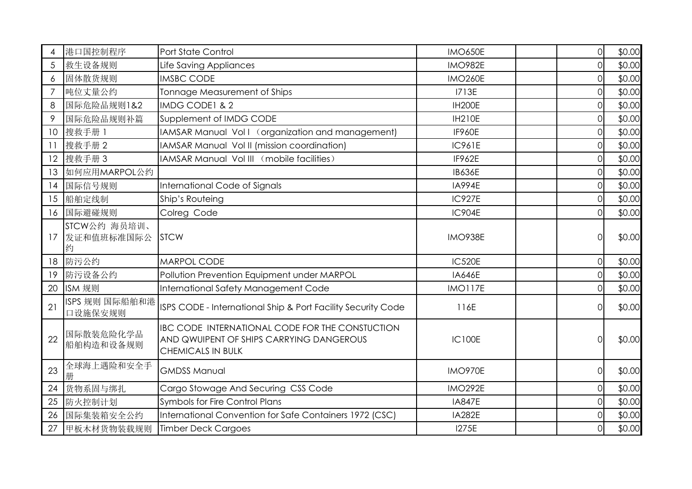| 4               | 港口国控制程序                         | Port State Control                                                                                                      | <b>IMO650E</b> | $\overline{0}$ | \$0.00 |
|-----------------|---------------------------------|-------------------------------------------------------------------------------------------------------------------------|----------------|----------------|--------|
| 5               | 救生设备规则                          | Life Saving Appliances                                                                                                  | <b>IMO982E</b> | $\overline{0}$ | \$0.00 |
| $\ddot{\delta}$ | 固体散货规则                          | <b>IMSBC CODE</b>                                                                                                       | <b>IMO260E</b> | $\overline{0}$ | \$0.00 |
| $\overline{7}$  | 吨位丈量公约                          | Tonnage Measurement of Ships                                                                                            | <b>I713E</b>   | $\overline{0}$ | \$0.00 |
| 8               | 国际危险品规则1&2                      | IMDG CODE1 & 2                                                                                                          | <b>IH200E</b>  | $\Omega$       | \$0.00 |
| 9               | 国际危险品规则补篇                       | Supplement of IMDG CODE                                                                                                 | <b>IH210E</b>  | $\overline{0}$ | \$0.00 |
| 10              | 搜救手册 1                          | IAMSAR Manual Voll (organization and management)                                                                        | <b>IF960E</b>  | $\overline{0}$ | \$0.00 |
| $\overline{1}$  | 搜救手册 2                          | IAMSAR Manual Vol II (mission coordination)                                                                             | <b>IC961E</b>  | $\Omega$       | \$0.00 |
| 12              | 搜救手册 3                          | IAMSAR Manual Vol III (mobile facilities)                                                                               | IF962E         | $\overline{0}$ | \$0.00 |
| 13              | 如何应用MARPOL公约                    |                                                                                                                         | <b>IB636E</b>  | $\Omega$       | \$0.00 |
| 14              | 国际信号规则                          | International Code of Signals                                                                                           | <b>IA994E</b>  | $\overline{O}$ | \$0.00 |
| 15              | 船舶定线制                           | Ship's Routeing                                                                                                         | <b>IC927E</b>  | $\overline{0}$ | \$0.00 |
| 16              | 国际避碰规则                          | Colreg Code                                                                                                             | <b>IC904E</b>  | $\overline{0}$ | \$0.00 |
| 17              | STCW公约 海员培训、<br>发证和值班标准国际公<br>约 | <b>STCW</b>                                                                                                             | <b>IMO938E</b> | $\Omega$       | \$0.00 |
| 18              | 防污公约                            | <b>MARPOL CODE</b>                                                                                                      | <b>IC520E</b>  | $\Omega$       | \$0.00 |
| 19              | 防污设备公约                          | Pollution Prevention Equipment under MARPOL                                                                             | <b>IA646E</b>  | $\overline{0}$ | \$0.00 |
| 20              | ISM 规则                          | International Safety Management Code                                                                                    | <b>IMO117E</b> | $\Omega$       | \$0.00 |
| 21              | ISPS 规则 国际船舶和港<br>口设施保安规则       | ISPS CODE - International Ship & Port Facility Security Code                                                            | 116E           | $\Omega$       | \$0.00 |
| 22              | 国际散装危险化学品<br>船舶构造和设备规则          | IBC CODE INTERNATIONAL CODE FOR THE CONSTUCTION<br>AND QWUIPENT OF SHIPS CARRYING DANGEROUS<br><b>CHEMICALS IN BULK</b> | <b>IC100E</b>  | $\Omega$       | \$0.00 |
| 23              | 全球海上遇险和安全手                      | <b>GMDSS Manual</b>                                                                                                     | <b>IMO970E</b> | $\Omega$       | \$0.00 |
| 24              | 货物系固与绑扎                         | Cargo Stowage And Securing CSS Code                                                                                     | <b>IMO292E</b> | $\Omega$       | \$0.00 |
| 25              | 防火控制计划                          | <b>Symbols for Fire Control Plans</b>                                                                                   | <b>IA847E</b>  | $\overline{0}$ | \$0.00 |
| 26              | 国际集装箱安全公约                       | International Convention for Safe Containers 1972 (CSC)                                                                 | <b>IA282E</b>  | $\overline{0}$ | \$0.00 |
| 27              | 甲板木材货物装载规则                      | <b>Timber Deck Cargoes</b>                                                                                              | <b>I275E</b>   | $\overline{0}$ | \$0.00 |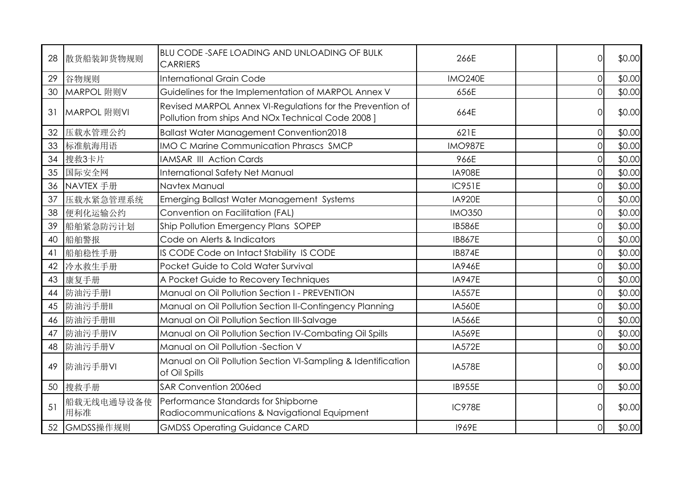| 28 | 散货船装卸货物规则         | <b>BLU CODE -SAFE LOADING AND UNLOADING OF BULK</b><br><b>CARRIERS</b>                                          | 266E           | $\Omega$       | \$0.00 |
|----|-------------------|-----------------------------------------------------------------------------------------------------------------|----------------|----------------|--------|
| 29 | 谷物规则              | International Grain Code                                                                                        | <b>IMO240E</b> | $\Omega$       | \$0.00 |
| 30 | MARPOL 附则V        | Guidelines for the Implementation of MARPOL Annex V                                                             | 656E           | $\Omega$       | \$0.00 |
| 31 | MARPOL 附则VI       | Revised MARPOL Annex VI-Regulations for the Prevention of<br>Pollution from ships And NOx Technical Code 2008 ] | 664E           | $\Omega$       | \$0.00 |
| 32 | 压载水管理公约           | <b>Ballast Water Management Convention2018</b>                                                                  | 621E           | $\overline{O}$ | \$0.00 |
| 33 | 标准航海用语            | <b>IMO C Marine Communication Phrascs SMCP</b>                                                                  | <b>IMO987E</b> | ΩI             | \$0.00 |
| 34 | 搜救3卡片             | <b>IAMSAR III Action Cards</b>                                                                                  | 966E           | $\overline{O}$ | \$0.00 |
| 35 | 国际安全网             | <b>International Safety Net Manual</b>                                                                          | <b>IA908E</b>  | $\overline{O}$ | \$0.00 |
| 36 | NAVTEX 手册         | Navtex Manual                                                                                                   | <b>IC951E</b>  | $\Omega$       | \$0.00 |
| 37 | 压载水紧急管理系统         | Emerging Ballast Water Management Systems                                                                       | <b>IA920E</b>  | $\Omega$       | \$0.00 |
| 38 | 便利化运输公约           | Convention on Facilitation (FAL)                                                                                | <b>IMO350</b>  | $\overline{O}$ | \$0.00 |
| 39 | 船舶紧急防污计划          | Ship Pollution Emergency Plans SOPEP                                                                            | <b>IB586E</b>  | $\overline{O}$ | \$0.00 |
| 40 | 船舶警报              | Code on Alerts & Indicators                                                                                     | <b>IB867E</b>  | $\overline{O}$ | \$0.00 |
| 41 | 船舶稳性手册            | IS CODE Code on Intact Stability IS CODE                                                                        | <b>IB874E</b>  | $\Omega$       | \$0.00 |
| 42 | 冷水救生手册            | Pocket Guide to Cold Water Survival                                                                             | <b>IA946E</b>  | $\Omega$       | \$0.00 |
| 43 | 康复手册              | A Pocket Guide to Recovery Techniques                                                                           | <b>IA947E</b>  | $\overline{O}$ | \$0.00 |
| 44 | 防油污手册             | Manual on Oil Pollution Section I - PREVENTION                                                                  | <b>IA557E</b>  | $\Omega$       | \$0.00 |
| 45 | 防油污手册             | Manual on Oil Pollution Section II-Contingency Planning                                                         | <b>IA560E</b>  | $\Omega$       | \$0.00 |
| 46 | 防油污手册Ⅲ            | Manual on Oil Pollution Section III-Salvage                                                                     | <b>IA566E</b>  | $\overline{O}$ | \$0.00 |
| 47 | 防油污手册IV           | Manual on Oil Pollution Section IV-Combating Oil Spills                                                         | <b>IA569E</b>  | Οl             | \$0.00 |
| 48 | 防油污手册V            | Manual on Oil Pollution -Section V                                                                              | <b>IA572E</b>  | $\overline{O}$ | \$0.00 |
| 49 | 防油污手册VI           | Manual on Oil Pollution Section VI-Sampling & Identification<br>of Oil Spills                                   | <b>IA578E</b>  | $\Omega$       | \$0.00 |
| 50 | 搜救手册              | <b>SAR Convention 2006ed</b>                                                                                    | <b>IB955E</b>  | $\Omega$       | \$0.00 |
| 51 | 船载无线电通导设备使<br>用标准 | Performance Standards for Shipborne<br>Radiocommunications & Navigational Equipment                             | <b>IC978E</b>  | ΩI             | \$0.00 |
| 52 | <b>CMDSS操作规则</b>  | <b>GMDSS Operating Guidance CARD</b>                                                                            | 1969E          | $\overline{O}$ | \$0.00 |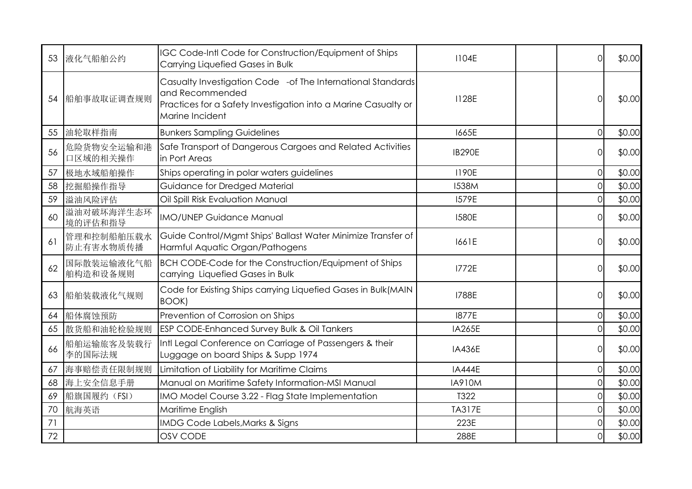| 53 | 液化气船舶公约                 | IGC Code-Intl Code for Construction/Equipment of Ships<br>Carrying Liquefied Gases in Bulk                                                                          | <b>I104E</b>  | $\Omega$       | \$0.00 |
|----|-------------------------|---------------------------------------------------------------------------------------------------------------------------------------------------------------------|---------------|----------------|--------|
| 54 | 船舶事故取证调查规则              | Casualty Investigation Code -of The International Standards<br>and Recommended<br>Practices for a Safety Investigation into a Marine Casualty or<br>Marine Incident | <b>I128E</b>  | $\Omega$       | \$0.00 |
| 55 | 油轮取样指南                  | <b>Bunkers Sampling Guidelines</b>                                                                                                                                  | 1665E         | $\Omega$       | \$0.00 |
| 56 | 危险货物安全运输和港<br>口区域的相关操作  | Safe Transport of Dangerous Cargoes and Related Activities<br>in Port Areas                                                                                         | <b>IB290E</b> | $\overline{O}$ | \$0.00 |
| 57 | 极地水域船舶操作                | Ships operating in polar waters guidelines                                                                                                                          | 1190E         | $\overline{O}$ | \$0.00 |
| 58 | 挖掘船操作指导                 | Guidance for Dredged Material                                                                                                                                       | <b>I538M</b>  | $\Omega$       | \$0.00 |
| 59 | 溢油风险评估                  | Oil Spill Risk Evaluation Manual                                                                                                                                    | 1579E         | $\overline{0}$ | \$0.00 |
| 60 | 溢油对破坏海洋生态环<br>境的评估和指导   | <b>IMO/UNEP Guidance Manual</b>                                                                                                                                     | <b>I580E</b>  | $\overline{O}$ | \$0.00 |
| 61 | 管理和控制船舶压载水<br>防止有害水物质传播 | Guide Control/Mgmt Ships' Ballast Water Minimize Transfer of<br>Harmful Aquatic Organ/Pathogens                                                                     | 1661E         | $\Omega$       | \$0.00 |
| 62 | 国际散装运输液化气船<br>舶构造和设备规则  | BCH CODE-Code for the Construction/Equipment of Ships<br>carrying Liquefied Gases in Bulk                                                                           | <b>I772E</b>  | $\Omega$       | \$0.00 |
| 63 | 船舶装载液化气规则               | Code for Existing Ships carrying Liquefied Gases in Bulk(MAIN<br>BOOK)                                                                                              | <b>I788E</b>  | $\Omega$       | \$0.00 |
| 64 | 船体腐蚀预防                  | Prevention of Corrosion on Ships                                                                                                                                    | <b>1877E</b>  | $\overline{O}$ | \$0.00 |
| 65 | 散货船和油轮检验规则              | ESP CODE-Enhanced Survey Bulk & Oil Tankers                                                                                                                         | <b>IA265E</b> | $\Omega$       | \$0.00 |
| 66 | 船舶运输旅客及装载行<br>李的国际法规    | Intl Legal Conference on Carriage of Passengers & their<br>Luggage on board Ships & Supp 1974                                                                       | <b>IA436E</b> | $\Omega$       | \$0.00 |
| 67 | 海事赔偿责任限制规则              | Limitation of Liability for Maritime Claims                                                                                                                         | <b>IA444E</b> | $\overline{O}$ | \$0.00 |
| 68 | 海上安全信息手册                | Manual on Maritime Safety Information-MSI Manual                                                                                                                    | <b>IA910M</b> | $\overline{O}$ | \$0.00 |
| 69 | 船旗国履约(FSI)              | IMO Model Course 3.22 - Flag State Implementation                                                                                                                   | T322          | $\Omega$       | \$0.00 |
| 70 | 航海英语                    | Maritime English                                                                                                                                                    | <b>TA317E</b> | $\overline{O}$ | \$0.00 |
| 71 |                         | IMDG Code Labels, Marks & Signs                                                                                                                                     | 223E          | $\overline{O}$ | \$0.00 |
| 72 |                         | OSV CODE                                                                                                                                                            | 288E          | $\overline{O}$ | \$0.00 |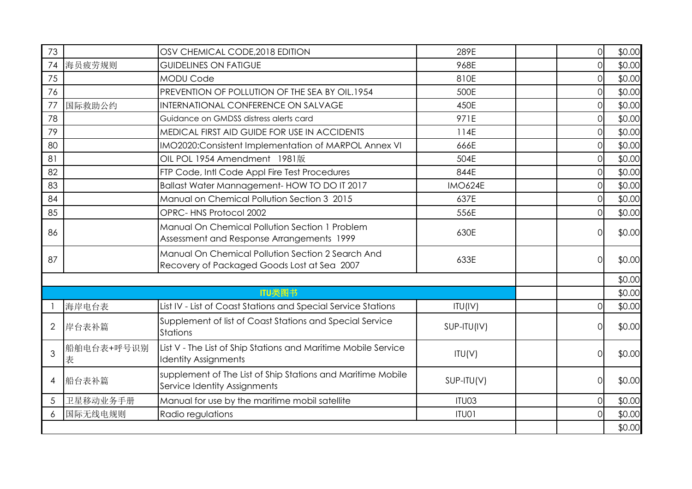| 73             |                 | OSV CHEMICAL CODE, 2018 EDITION                                                                  | 289E           | Οl             | \$0.00 |
|----------------|-----------------|--------------------------------------------------------------------------------------------------|----------------|----------------|--------|
| 74             | 海员疲劳规则          | <b>GUIDELINES ON FATIGUE</b>                                                                     | 968E           | $\Omega$       | \$0.00 |
| 75             |                 | <b>MODU Code</b>                                                                                 | 810E           | $\overline{O}$ | \$0.00 |
| 76             |                 | PREVENTION OF POLLUTION OF THE SEA BY OIL.1954                                                   | 500E           | $\Omega$       | \$0.00 |
| 77             | 国际救助公约          | <b>INTERNATIONAL CONFERENCE ON SALVAGE</b>                                                       | 450E           | $\Omega$       | \$0.00 |
| 78             |                 | Guidance on GMDSS distress alerts card                                                           | 971E           | $\Omega$       | \$0.00 |
| 79             |                 | MEDICAL FIRST AID GUIDE FOR USE IN ACCIDENTS                                                     | 114E           | $\Omega$       | \$0.00 |
| 80             |                 | IMO2020:Consistent Implementation of MARPOL Annex VI                                             | 666E           | $\Omega$       | \$0.00 |
| 81             |                 | OIL POL 1954 Amendment 1981版                                                                     | 504E           | $\Omega$       | \$0.00 |
| 82             |                 | FTP Code, Intl Code Appl Fire Test Procedures                                                    | 844E           | $\Omega$       | \$0.00 |
| 83             |                 | Ballast Water Mannagement-HOW TO DO IT 2017                                                      | <b>IMO624E</b> | $\Omega$       | \$0.00 |
| 84             |                 | Manual on Chemical Pollution Section 3 2015                                                      | 637E           | $\Omega$       | \$0.00 |
| 85             |                 | OPRC-HNS Protocol 2002                                                                           | 556E           |                | \$0.00 |
| 86             |                 | Manual On Chemical Pollution Section 1 Problem<br>Assessment and Response Arrangements 1999      | 630E           | $\Omega$       | \$0.00 |
| 87             |                 | Manual On Chemical Pollution Section 2 Search And<br>Recovery of Packaged Goods Lost at Sea 2007 | 633E           | $\Omega$       | \$0.00 |
|                |                 |                                                                                                  |                |                | \$0.00 |
|                |                 | ITU类图书                                                                                           |                |                | \$0.00 |
|                | 海岸电台表           | List IV - List of Coast Stations and Special Service Stations                                    | ITU(IV)        | $\Omega$       | \$0.00 |
| $\overline{2}$ | 岸台表补篇           | Supplement of list of Coast Stations and Special Service<br><b>Stations</b>                      | SUP-ITU(IV)    | $\Omega$       | \$0.00 |
| 3              | 船舶电台表+呼号识别<br>表 | List V - The List of Ship Stations and Maritime Mobile Service<br><b>Identity Assignments</b>    | ITU(V)         | $\Omega$       | \$0.00 |
| 4              | 船台表补篇           | supplement of The List of Ship Stations and Maritime Mobile<br>Service Identity Assignments      | SUP-ITU(V)     | 0              | \$0.00 |
| 5              | 卫星移动业务手册        | Manual for use by the maritime mobil satellite                                                   | ITU03          | $\Omega$       | \$0.00 |
| 6              | 国际无线电规则         | Radio regulations                                                                                | ITU01          |                | \$0.00 |
|                |                 |                                                                                                  |                |                | \$0.00 |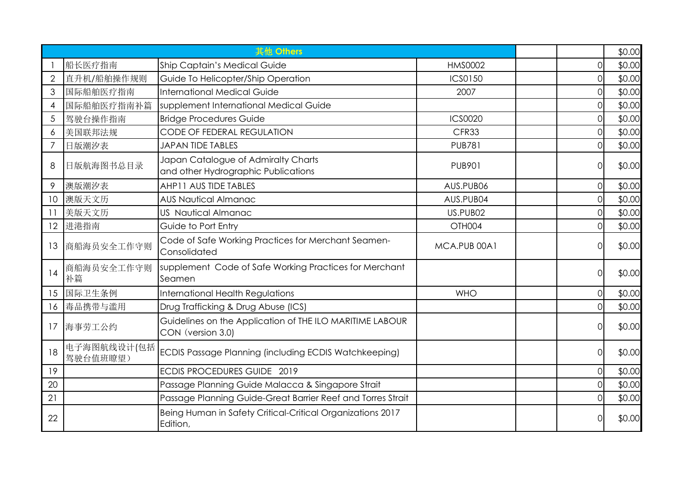|                |                         | 其他 Others                                                                     |                |                | \$0.00 |
|----------------|-------------------------|-------------------------------------------------------------------------------|----------------|----------------|--------|
|                | 船长医疗指南                  | <b>Ship Captain's Medical Guide</b>                                           | <b>HMS0002</b> | ΩI             | \$0.00 |
|                | 直升机/船舶操作规则              | Guide To Helicopter/Ship Operation                                            | ICS0150        | $\Omega$       | \$0.00 |
| 3              | 国际船舶医疗指南                | <b>International Medical Guide</b>                                            | 2007           | $\Omega$       | \$0.00 |
| $\overline{4}$ | 国际船舶医疗指南补篇              | supplement International Medical Guide                                        |                | $\overline{O}$ | \$0.00 |
| 5              | 驾驶台操作指南                 | <b>Bridge Procedures Guide</b>                                                | <b>ICS0020</b> | $\overline{O}$ | \$0.00 |
| 6              | 美国联邦法规                  | CODE OF FEDERAL REGULATION                                                    | CFR33          | $\Omega$       | \$0.00 |
| $\overline{7}$ | 日版潮汐表                   | <b>JAPAN TIDE TABLES</b>                                                      | <b>PUB781</b>  | $\Omega$       | \$0.00 |
| 8              | 日版航海图书总目录               | Japan Catalogue of Admiralty Charts<br>and other Hydrographic Publications    | <b>PUB901</b>  | $\Omega$       | \$0.00 |
| 9              | 澳版潮汐表                   | AHP11 AUS TIDE TABLES                                                         | AUS.PUB06      | $\Omega$       | \$0.00 |
| 10             | 澳版天文历                   | <b>AUS Nautical Almanac</b>                                                   | AUS.PUB04      | $\Omega$       | \$0.00 |
| 11             | 美版天文历                   | <b>US Nautical Almanac</b>                                                    | US.PUB02       | $\Omega$       | \$0.00 |
| 12             | 进港指南                    | Guide to Port Entry                                                           | OTH004         |                | \$0.00 |
| 13             | 商船海员安全工作守则              | Code of Safe Working Practices for Merchant Seamen-<br>Consolidated           | MCA.PUB 00A1   | $\Omega$       | \$0.00 |
| 14             | 商船海员安全工作守则<br>补篇        | supplement Code of Safe Working Practices for Merchant<br>Seamen              |                | Οl             | \$0.00 |
| 15             | 国际卫生条例                  | <b>International Health Regulations</b>                                       | <b>WHO</b>     | $\overline{O}$ | \$0.00 |
| 16             | 毒品携带与滥用                 | Drug Trafficking & Drug Abuse (ICS)                                           |                | 0              | \$0.00 |
| 17             | 海事劳工公约                  | Guidelines on the Application of THE ILO MARITIME LABOUR<br>CON (version 3.0) |                | $\Omega$       | \$0.00 |
| 18             | 电子海图航线设计(包括<br>驾驶台值班瞭望) | ECDIS Passage Planning (including ECDIS Watchkeeping)                         |                | Οl             | \$0.00 |
| 19             |                         | <b>ECDIS PROCEDURES GUIDE 2019</b>                                            |                | $\Omega$       | \$0.00 |
| 20             |                         | Passage Planning Guide Malacca & Singapore Strait                             |                | 0              | \$0.00 |
| 21             |                         | Passage Planning Guide-Great Barrier Reef and Torres Strait                   |                | $\Omega$       | \$0.00 |
| 22             |                         | Being Human in Safety Critical-Critical Organizations 2017<br>Edition,        |                |                | \$0.00 |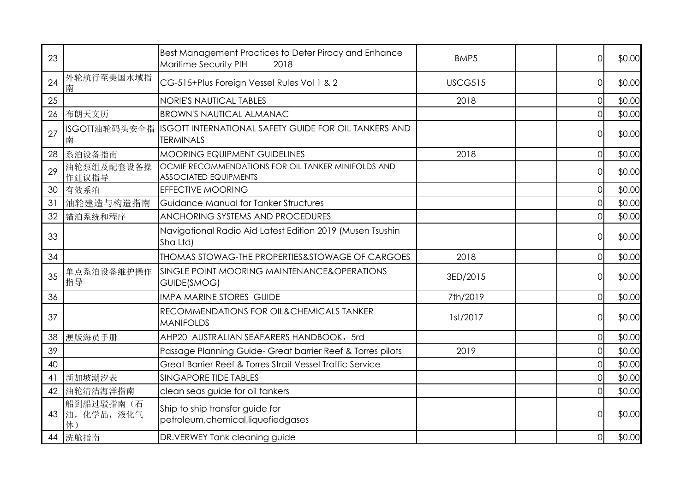| 23 |                                | Best Management Practices to Deter Piracy and Enhance<br>Maritime Security PIH<br>2018  | BMP5           | $\Omega$       | \$0.00 |
|----|--------------------------------|-----------------------------------------------------------------------------------------|----------------|----------------|--------|
| 24 | 外轮航行至美国水域指<br>南                | CG-515+Plus Foreign Vessel Rules Vol 1 & 2                                              | <b>USCG515</b> | $\Omega$       | \$0.00 |
| 25 |                                | <b>NORIE'S NAUTICAL TABLES</b>                                                          | 2018           | $\Omega$       | \$0.00 |
| 26 | 布朗天文历                          | <b>BROWN'S NAUTICAL ALMANAC</b>                                                         |                | $\Omega$       | \$0.00 |
| 27 | 南                              | ISGOTT油轮码头安全指 ISGOTT INTERNATIONAL SAFETY GUIDE FOR OIL TANKERS AND<br><b>TERMINALS</b> |                | $\Omega$       | \$0.00 |
| 28 | 系泊设备指南                         | <b>MOORING EQUIPMENT GUIDELINES</b>                                                     | 2018           | $\overline{O}$ | \$0.00 |
| 29 | 油轮泵组及配套设备操<br>作建议指导            | OCMIF RECOMMENDATIONS FOR OIL TANKER MINIFOLDS AND<br><b>ASSOCIATED EQUIPMENTS</b>      |                | $\Omega$       | \$0.00 |
| 30 | 有效系泊                           | <b>EFFECTIVE MOORING</b>                                                                |                | $\Omega$       | \$0.00 |
| 31 | 油轮建造与构造指南                      | Guidance Manual for Tanker Structures                                                   |                | $\Omega$       | \$0.00 |
| 32 | 锚泊系统和程序                        | <b>ANCHORING SYSTEMS AND PROCEDURES</b>                                                 |                | $\Omega$       | \$0.00 |
| 33 |                                | Navigational Radio Aid Latest Edition 2019 (Musen Tsushin<br>Sha Ltd)                   |                | $\Omega$       | \$0.00 |
| 34 |                                | <b>THOMAS STOWAG-THE PROPERTIES&amp;STOWAGE OF CARGOES</b>                              | 2018           | $\Omega$       | \$0.00 |
| 35 | 单点系泊设备维护操作<br>指导               | SINGLE POINT MOORING MAINTENANCE&OPERATIONS<br>GUIDE(SMOG)                              | 3ED/2015       | $\Omega$       | \$0.00 |
| 36 |                                | <b>IMPA MARINE STORES GUIDE</b>                                                         | 7th/2019       | $\Omega$       | \$0.00 |
| 37 |                                | RECOMMENDATIONS FOR OIL&CHEMICALS TANKER<br><b>MANIFOLDS</b>                            | 1st/2017       | $\Omega$       | \$0.00 |
| 38 | 澳版海员手册                         | AHP20 AUSTRALIAN SEAFARERS HANDBOOK, 5rd                                                |                | $\overline{0}$ | \$0.00 |
| 39 |                                | Passage Planning Guide-Great barrier Reef & Torres pilots                               | 2019           | $\Omega$       | \$0.00 |
| 40 |                                | Great Barrier Reef & Torres Strait Vessel Traffic Service                               |                | $\overline{0}$ | \$0.00 |
| 41 | 新加坡潮汐表                         | <b>SINGAPORE TIDE TABLES</b>                                                            |                | $\Omega$       | \$0.00 |
| 42 | 油轮清洁海洋指南                       | clean seas guide for oil tankers                                                        |                | $\Omega$       | \$0.00 |
| 43 | 船到船过驳指南(石<br>油, 化学品, 液化气<br>体) | Ship to ship transfer guide for<br>petroleum, chemical, liquefied gases                 |                | ∩              | \$0.00 |
|    | 44 洗舱指南                        | DR.VERWEY Tank cleaning guide                                                           |                | $\overline{O}$ | \$0.00 |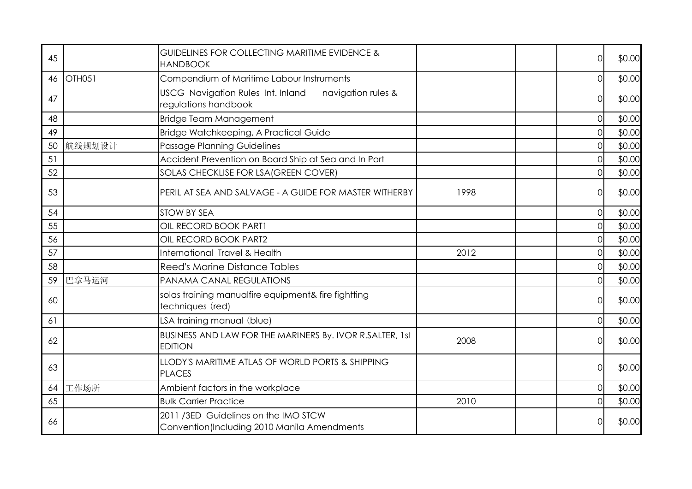| 45 |               | <b>GUIDELINES FOR COLLECTING MARITIME EVIDENCE &amp;</b><br><b>HANDBOOK</b>         |      | $\Omega$       | \$0.00 |
|----|---------------|-------------------------------------------------------------------------------------|------|----------------|--------|
| 46 | <b>OTH051</b> | Compendium of Maritime Labour Instruments                                           |      | $\Omega$       | \$0.00 |
| 47 |               | USCG Navigation Rules Int. Inland<br>navigation rules &<br>regulations handbook     |      |                | \$0.00 |
| 48 |               | <b>Bridge Team Management</b>                                                       |      |                | \$0.00 |
| 49 |               | Bridge Watchkeeping, A Practical Guide                                              |      | ΩI             | \$0.00 |
| 50 | 航线规划设计        | Passage Planning Guidelines                                                         |      |                | \$0.00 |
| 51 |               | Accident Prevention on Board Ship at Sea and In Port                                |      | $\Omega$       | \$0.00 |
| 52 |               | SOLAS CHECKLISE FOR LSA (GREEN COVER)                                               |      |                | \$0.00 |
| 53 |               | PERIL AT SEA AND SALVAGE - A GUIDE FOR MASTER WITHERBY                              | 1998 |                | \$0.00 |
| 54 |               | <b>STOW BY SEA</b>                                                                  |      | ΩI             | \$0.00 |
| 55 |               | OIL RECORD BOOK PARTI                                                               |      | Οl             | \$0.00 |
| 56 |               | OIL RECORD BOOK PART2                                                               |      |                | \$0.00 |
| 57 |               | International Travel & Health                                                       | 2012 | $\Omega$       | \$0.00 |
| 58 |               | <b>Reed's Marine Distance Tables</b>                                                |      | $\Omega$       | \$0.00 |
| 59 | 巴拿马运河         | PANAMA CANAL REGULATIONS                                                            |      |                | \$0.00 |
| 60 |               | solas training manualfire equipment& fire fightting<br>techniques (red)             |      | ΩI             | \$0.00 |
| 61 |               | LSA training manual (blue)                                                          |      | $\Omega$       | \$0.00 |
| 62 |               | BUSINESS AND LAW FOR THE MARINERS By. IVOR R.SALTER, 1st<br><b>EDITION</b>          | 2008 |                | \$0.00 |
| 63 |               | LLODY'S MARITIME ATLAS OF WORLD PORTS & SHIPPING<br><b>PLACES</b>                   |      | $\Omega$       | \$0.00 |
| 64 | 工作场所          | Ambient factors in the workplace                                                    |      | $\overline{O}$ | \$0.00 |
| 65 |               | <b>Bulk Carrier Practice</b>                                                        | 2010 |                | \$0.00 |
| 66 |               | 2011 /3ED Guidelines on the IMO STCW<br>Convention(Including 2010 Manila Amendments |      |                | \$0.00 |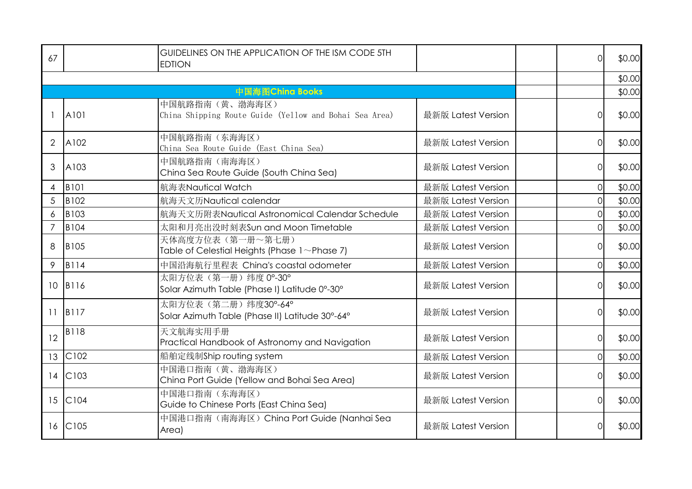| 67             |              | GUIDELINES ON THE APPLICATION OF THE ISM CODE 5TH<br><b>EDTION</b>       |                    | $\Omega$ | \$0.00 |
|----------------|--------------|--------------------------------------------------------------------------|--------------------|----------|--------|
|                |              |                                                                          |                    |          | \$0.00 |
|                |              | 中国海图China Books                                                          |                    |          | \$0.00 |
|                | A101         | 中国航路指南(黄、渤海海区)<br>China Shipping Route Guide (Yellow and Bohai Sea Area) | 最新版 Latest Version | $\Omega$ | \$0.00 |
| $\overline{2}$ | A102         | 中国航路指南(东海海区)<br>China Sea Route Guide (East China Sea)                   | 最新版 Latest Version | $\Omega$ | \$0.00 |
| 3              | A103         | 中国航路指南(南海海区)<br>China Sea Route Guide (South China Sea)                  | 最新版 Latest Version |          | \$0.00 |
| $\overline{4}$ | <b>B</b> 101 | 航海表Nautical Watch                                                        | 最新版 Latest Version | $\Omega$ | \$0.00 |
| 5              | <b>B102</b>  | 航海天文历Nautical calendar                                                   | 最新版 Latest Version | $\Omega$ | \$0.00 |
| 6              | <b>B103</b>  | 航海天文历附表Nautical Astronomical Calendar Schedule                           | 最新版 Latest Version |          | \$0.00 |
| $\overline{7}$ | <b>B104</b>  | 太阳和月亮出没时刻表Sun and Moon Timetable                                         | 最新版 Latest Version | $\Omega$ | \$0.00 |
| 8              | <b>B</b> 105 | 天体高度方位表(第一册~第七册)<br>Table of Celestial Heights (Phase $1 \sim$ Phase 7)  | 最新版 Latest Version | ΩI       | \$0.00 |
| 9              | <b>B</b> 114 | 中国沿海航行里程表 China's coastal odometer                                       | 最新版 Latest Version | $\Omega$ | \$0.00 |
|                | 10 B116      | 太阳方位表(第一册) 纬度 0°-30°<br>Solar Azimuth Table (Phase I) Latitude 0°-30°    | 最新版 Latest Version | $\Omega$ | \$0.00 |
| 11             | B117         | 太阳方位表(第二册)纬度30°-64°<br>Solar Azimuth Table (Phase II) Latitude 30°-64°   | 最新版 Latest Version | $\Omega$ | \$0.00 |
| 12             | <b>B118</b>  | 天文航海实用手册<br>Practical Handbook of Astronomy and Navigation               | 最新版 Latest Version | $\Omega$ | \$0.00 |
|                | 13 C102      | 船舶定线制Ship routing system                                                 | 最新版 Latest Version | $\Omega$ | \$0.00 |
|                | 14 C103      | 中国港口指南(黄、渤海海区)<br>China Port Guide (Yellow and Bohai Sea Area)           | 最新版 Latest Version | ΩI       | \$0.00 |
|                | 15 C104      | 中国港口指南(东海海区)<br>Guide to Chinese Ports (East China Sea)                  | 最新版 Latest Version | ΩI       | \$0.00 |
|                | 16 C105      | 中国港口指南(南海海区) China Port Guide (Nanhai Sea<br>Area)                       | 最新版 Latest Version | $\Omega$ | \$0.00 |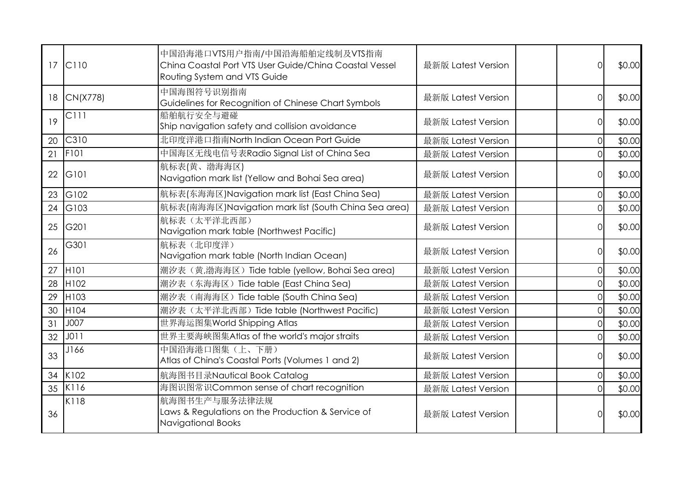| 17 | CI10             | 中国沿海港口VTS用户指南/中国沿海船舶定线制及VTS指南<br>China Coastal Port VTS User Guide/China Coastal Vessel<br>Routing System and VTS Guide | 最新版 Latest Version | $\Omega$       | \$0.00 |
|----|------------------|-------------------------------------------------------------------------------------------------------------------------|--------------------|----------------|--------|
|    | 18 CN(X778)      | 中国海图符号识别指南<br>Guidelines for Recognition of Chinese Chart Symbols                                                       | 最新版 Latest Version | $\Omega$       | \$0.00 |
| 19 | C111             | 船舶航行安全与避碰<br>Ship navigation safety and collision avoidance                                                             | 最新版 Latest Version | $\Omega$       | \$0.00 |
| 20 | C310             | 北印度洋港口指南North Indian Ocean Port Guide                                                                                   | 最新版 Latest Version | $\overline{O}$ | \$0.00 |
| 21 | F101             | 中国海区无线电信号表Radio Signal List of China Sea                                                                                | 最新版 Latest Version | $\Omega$       | \$0.00 |
| 22 | G101             | 航标表(黄、渤海海区)<br>Navigation mark list (Yellow and Bohai Sea area)                                                         | 最新版 Latest Version | $\Omega$       | \$0.00 |
| 23 | G102             | 航标表(东海海区)Navigation mark list (East China Sea)                                                                          | 最新版 Latest Version | $\overline{O}$ | \$0.00 |
| 24 | G103             | 航标表(南海海区)Navigation mark list (South China Sea area)                                                                    | 最新版 Latest Version | $\Omega$       | \$0.00 |
| 25 | G201             | 航标表 (太平洋北西部)<br>Navigation mark table (Northwest Pacific)                                                               | 最新版 Latest Version | $\Omega$       | \$0.00 |
| 26 | G301             | 航标表 (北印度洋)<br>Navigation mark table (North Indian Ocean)                                                                | 最新版 Latest Version | $\Omega$       | \$0.00 |
| 27 | H <sub>101</sub> | 潮汐表(黄,渤海海区) Tide table (yellow, Bohai Sea area)                                                                         | 最新版 Latest Version | $\Omega$       | \$0.00 |
| 28 | H <sub>102</sub> | 潮汐表(东海海区) Tide table (East China Sea)                                                                                   | 最新版 Latest Version | $\overline{O}$ | \$0.00 |
| 29 | H <sub>103</sub> | 潮汐表(南海海区) Tide table (South China Sea)                                                                                  | 最新版 Latest Version | $\overline{O}$ | \$0.00 |
| 30 | H <sub>104</sub> | 潮汐表(太平洋北西部) Tide table (Northwest Pacific)                                                                              | 最新版 Latest Version | $\Omega$       | \$0.00 |
| 31 | J007             | 世界海运图集World Shipping Atlas                                                                                              | 最新版 Latest Version | $\overline{O}$ | \$0.00 |
| 32 | JO11             | 世界主要海峡图集Atlas of the world's major straits                                                                              | 最新版 Latest Version | $\Omega$       | \$0.00 |
| 33 | J166             | 中国沿海港口图集(上、下册)<br>Atlas of China's Coastal Ports (Volumes 1 and 2)                                                      | 最新版 Latest Version | $\Omega$       | \$0.00 |
| 34 | K102             | 航海图书目录Nautical Book Catalog                                                                                             | 最新版 Latest Version | $\overline{O}$ | \$0.00 |
| 35 | K116             | 海图识图常识Common sense of chart recognition                                                                                 | 最新版 Latest Version | $\Omega$       | \$0.00 |
| 36 | K118             | 航海图书生产与服务法律法规<br>Laws & Regulations on the Production & Service of<br>Navigational Books                                | 最新版 Latest Version | $\Omega$       | \$0.00 |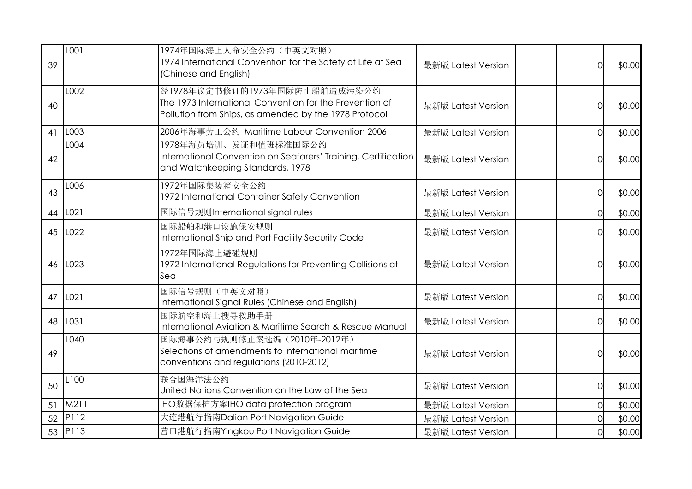| 39 | LOO1 | 1974年国际海上人命安全公约(中英文对照)<br>1974 International Convention for the Safety of Life at Sea<br>(Chinese and English)                                    | 最新版 Latest Version | $\Omega$       | \$0.00 |
|----|------|---------------------------------------------------------------------------------------------------------------------------------------------------|--------------------|----------------|--------|
| 40 | L002 | 经1978年议定书修订的1973年国际防止船舶造成污染公约<br>The 1973 International Convention for the Prevention of<br>Pollution from Ships, as amended by the 1978 Protocol | 最新版 Latest Version | $\Omega$       | \$0.00 |
| 41 | L003 | 2006年海事劳工公约 Maritime Labour Convention 2006                                                                                                       | 最新版 Latest Version | $\overline{O}$ | \$0.00 |
| 42 | L004 | 1978年海员培训、发证和值班标准国际公约<br>International Convention on Seafarers' Training, Certification<br>and Watchkeeping Standards, 1978                       | 最新版 Latest Version | $\Omega$       | \$0.00 |
| 43 | L006 | 1972年国际集装箱安全公约<br>1972 International Container Safety Convention                                                                                  | 最新版 Latest Version | 0l             | \$0.00 |
| 44 | L021 | 国际信号规则International signal rules                                                                                                                  | 最新版 Latest Version | $\Omega$       | \$0.00 |
| 45 | L022 | 国际船舶和港口设施保安规则<br>International Ship and Port Facility Security Code                                                                               | 最新版 Latest Version | $\overline{O}$ | \$0.00 |
| 46 | L023 | 1972年国际海上避碰规则<br>1972 International Regulations for Preventing Collisions at<br>Sea                                                               | 最新版 Latest Version | $\Omega$       | \$0.00 |
| 47 | L021 | 国际信号规则(中英文对照)<br>International Signal Rules (Chinese and English)                                                                                 | 最新版 Latest Version | $\Omega$       | \$0.00 |
| 48 | L031 | 国际航空和海上搜寻救助手册<br>International Aviation & Maritime Search & Rescue Manual                                                                         | 最新版 Latest Version | $\Omega$       | \$0.00 |
| 49 | L040 | 国际海事公约与规则修正案选编(2010年-2012年)<br>Selections of amendments to international maritime<br>conventions and regulations (2010-2012)                      | 最新版 Latest Version | $\Omega$       | \$0.00 |
| 50 | L100 | 联合国海洋法公约<br>United Nations Convention on the Law of the Sea                                                                                       | 最新版 Latest Version | $\Omega$       | \$0.00 |
| 51 | M211 | IHO数据保护方案IHO data protection program                                                                                                              | 最新版 Latest Version | $\overline{O}$ | \$0.00 |
| 52 | P112 | 大连港航行指南Dalian Port Navigation Guide                                                                                                               | 最新版 Latest Version | $\Omega$       | \$0.00 |
| 53 | PI13 | 营口港航行指南Yingkou Port Navigation Guide                                                                                                              | 最新版 Latest Version | $\overline{O}$ | \$0.00 |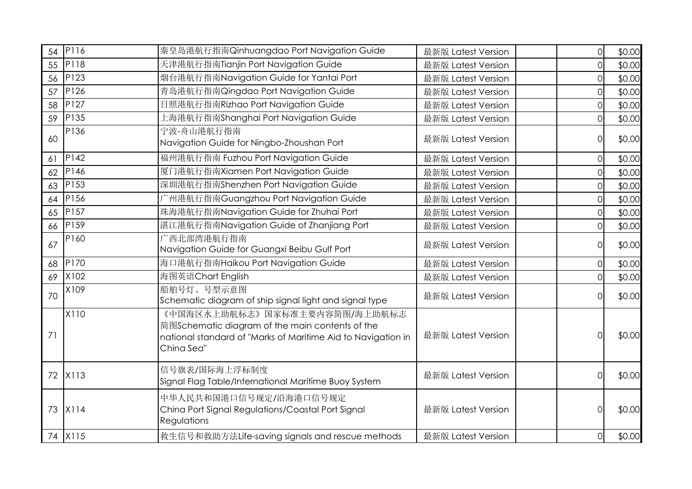| 54 | P116             | 秦皇岛港航行指南Qinhuangdao Port Navigation Guide                                                                                                                      | 最新版 Latest Version | $\overline{0}$ | \$0.00 |
|----|------------------|----------------------------------------------------------------------------------------------------------------------------------------------------------------|--------------------|----------------|--------|
| 55 | PI18             | 天津港航行指南Tianjin Port Navigation Guide                                                                                                                           | 最新版 Latest Version | $\overline{0}$ | \$0.00 |
| 56 | P <sub>123</sub> | 烟台港航行指南Navigation Guide for Yantai Port                                                                                                                        | 最新版 Latest Version | $\Omega$       | \$0.00 |
| 57 | PI26             | 青岛港航行指南Qingdao Port Navigation Guide                                                                                                                           | 最新版 Latest Version | $\overline{O}$ | \$0.00 |
| 58 | PI27             | 日照港航行指南Rizhao Port Navigation Guide                                                                                                                            | 最新版 Latest Version | $\overline{O}$ | \$0.00 |
| 59 | P <sub>135</sub> | 上海港航行指南Shanghai Port Navigation Guide                                                                                                                          | 最新版 Latest Version | $\overline{0}$ | \$0.00 |
| 60 | P136             | 宁波-舟山港航行指南<br>Navigation Guide for Ningbo-Zhoushan Port                                                                                                        | 最新版 Latest Version | $\overline{O}$ | \$0.00 |
| 61 | P142             | 福州港航行指南 Fuzhou Port Navigation Guide                                                                                                                           | 最新版 Latest Version | $\Omega$       | \$0.00 |
| 62 | P146             | 厦门港航行指南Xiamen Port Navigation Guide                                                                                                                            | 最新版 Latest Version | $\overline{0}$ | \$0.00 |
| 63 | P <sub>153</sub> | 深圳港航行指南Shenzhen Port Navigation Guide                                                                                                                          | 最新版 Latest Version | $\overline{0}$ | \$0.00 |
| 64 | P <sub>156</sub> | 广州港航行指南Guangzhou Port Navigation Guide                                                                                                                         | 最新版 Latest Version | $\overline{0}$ | \$0.00 |
| 65 | PI57             | 珠海港航行指南Navigation Guide for Zhuhai Port                                                                                                                        | 最新版 Latest Version | $\overline{0}$ | \$0.00 |
| 66 | P <sub>159</sub> | 湛江港航行指南Navigation Guide of Zhanjiang Port                                                                                                                      | 最新版 Latest Version | $\overline{0}$ | \$0.00 |
| 67 | P160             | 西北部湾港航行指南<br>Navigation Guide for Guangxi Beibu Gulf Port                                                                                                      | 最新版 Latest Version | $\overline{O}$ | \$0.00 |
| 68 | P170             | 海口港航行指南Haikou Port Navigation Guide                                                                                                                            | 最新版 Latest Version | $\Omega$       | \$0.00 |
| 69 | X102             | 海图英语Chart English                                                                                                                                              | 最新版 Latest Version | $\overline{0}$ | \$0.00 |
| 70 | X109             | 船舶号灯、号型示意图<br>Schematic diagram of ship signal light and signal type                                                                                           | 最新版 Latest Version | $\Omega$       | \$0.00 |
| 71 | X110             | 《中国海区水上助航标志》国家标准主要内容简图/海上助航标志<br>简图Schematic diagram of the main contents of the<br>national standard of "Marks of Maritime Aid to Navigation in<br>China Sea" | 最新版 Latest Version | $\overline{O}$ | \$0.00 |
| 72 | X113             | 信号旗表/国际海上浮标制度<br>Signal Flag Table/International Maritime Buoy System                                                                                          | 最新版 Latest Version | $\Omega$       | \$0.00 |
| 73 | X114             | 中华人民共和国港口信号规定/沿海港口信号规定<br>China Port Signal Regulations/Coastal Port Signal<br>Regulations                                                                     | 最新版 Latest Version | $\Omega$       | \$0.00 |
|    | 74 X115          | 救生信号和救助方法Life-saving signals and rescue methods                                                                                                                | 最新版 Latest Version | $\overline{O}$ | \$0.00 |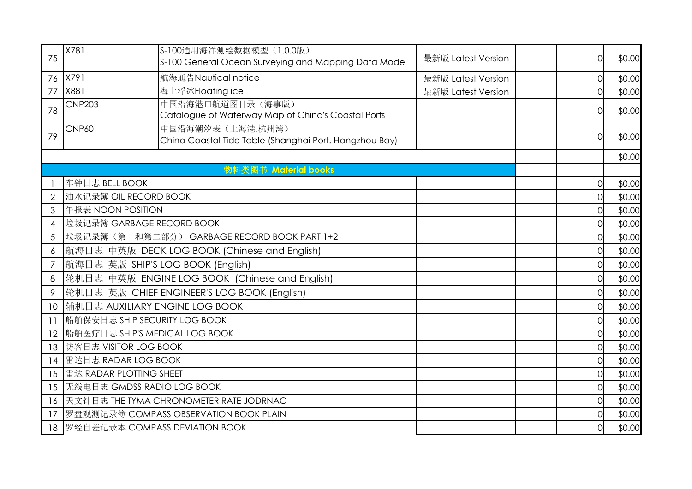| 75              | X781                                           | S-100通用海洋测绘数据模型 (1.0.0版)<br>S-100 General Ocean Surveying and Mapping Data Model | 最新版 Latest Version | $\Omega$       | \$0.00 |
|-----------------|------------------------------------------------|----------------------------------------------------------------------------------|--------------------|----------------|--------|
| 76              | X791                                           | 航海通告Nautical notice                                                              | 最新版 Latest Version | $\overline{O}$ | \$0.00 |
| 77              | X881                                           | 海上浮冰Floating ice                                                                 | 最新版 Latest Version |                | \$0.00 |
| 78              | <b>CNP203</b>                                  | 中国沿海港口航道图目录(海事版)<br>Catalogue of Waterway Map of China's Coastal Ports           |                    | ΩI             | \$0.00 |
| 79              | <b>CNP60</b>                                   | 中国沿海潮汐表(上海港.杭州湾)<br>China Coastal Tide Table (Shanghai Port. Hangzhou Bay)       |                    | ΟI             | \$0.00 |
|                 |                                                |                                                                                  |                    |                | \$0.00 |
|                 |                                                | 物料类图书 Moterial books                                                             |                    |                |        |
|                 | 车钟日志 BELL BOOK                                 |                                                                                  |                    | $\overline{O}$ | \$0.00 |
| $\overline{2}$  | 油水记录簿 OIL RECORD BOOK                          |                                                                                  |                    | Ωl             | \$0.00 |
| 3               | 午报表 NOON POSITION                              |                                                                                  |                    | $\Omega$       | \$0.00 |
| $\overline{4}$  | 垃圾记录簿 GARBAGE RECORD BOOK                      |                                                                                  | 0                  | \$0.00         |        |
| 5               | 垃圾记录簿(第一和第二部分) GARBAGE RECORD BOOK PART 1+2    |                                                                                  |                    | $\Omega$       | \$0.00 |
| 6               | 航海日志 中英版 DECK LOG BOOK (Chinese and English)   |                                                                                  |                    | $\Omega$       | \$0.00 |
| 7               | 航海日志 英版 SHIP'S LOG BOOK (English)              |                                                                                  | Ωl                 | \$0.00         |        |
| 8               | 轮机日志 中英版 ENGINE LOG BOOK (Chinese and English) |                                                                                  | $\Omega$           | \$0.00         |        |
| 9               | 轮机日志 英版 CHIEF ENGINEER'S LOG BOOK (English)    |                                                                                  |                    | $\Omega$       | \$0.00 |
| 10              | 辅机日志 AUXILIARY ENGINE LOG BOOK                 |                                                                                  |                    | $\Omega$       | \$0.00 |
| $\overline{11}$ | 船舶保安日志 SHIP SECURITY LOG BOOK                  |                                                                                  | $\Omega$           | \$0.00         |        |
| 12              | 船舶医疗日志 SHIP'S MEDICAL LOG BOOK                 |                                                                                  |                    | $\Omega$       | \$0.00 |
| 13              | 访客日志 VISITOR LOG BOOK                          |                                                                                  |                    | $\Omega$       | \$0.00 |
| 14              | 雷达日志 RADAR LOG BOOK                            |                                                                                  |                    | $\Omega$       | \$0.00 |
| 15              | 雷达 RADAR PLOTTING SHEET                        |                                                                                  |                    | 0              | \$0.00 |
| 15              | 无线电日志 GMDSS RADIO LOG BOOK                     |                                                                                  |                    | $\Omega$       | \$0.00 |
| 16              | 天文钟日志 THE TYMA CHRONOMETER RATE JODRNAC        |                                                                                  |                    | $\Omega$       | \$0.00 |
| 17              | 罗盘观测记录簿 COMPASS OBSERVATION BOOK PLAIN         |                                                                                  |                    | $\Omega$       | \$0.00 |
|                 | 18 罗经自差记录本 COMPASS DEVIATION BOOK              |                                                                                  |                    | $\overline{0}$ | \$0.00 |